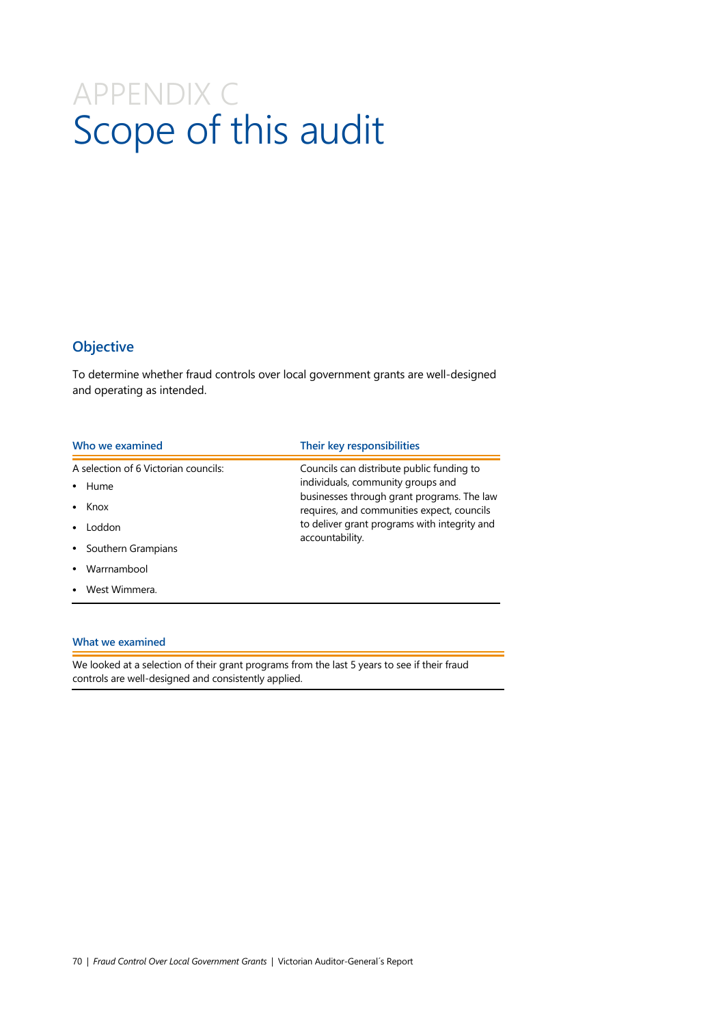# APPENDIX C Scope of this audit

# **Objective**

To determine whether fraud controls over local government grants are well-designed and operating as intended.

| Who we examined                      | Their key responsibilities                                                                                                                                                                       |  |
|--------------------------------------|--------------------------------------------------------------------------------------------------------------------------------------------------------------------------------------------------|--|
| A selection of 6 Victorian councils: | Councils can distribute public funding to                                                                                                                                                        |  |
| Hume<br>٠                            | individuals, community groups and<br>businesses through grant programs. The law<br>requires, and communities expect, councils<br>to deliver grant programs with integrity and<br>accountability. |  |
| Knox<br>٠                            |                                                                                                                                                                                                  |  |
| Loddon                               |                                                                                                                                                                                                  |  |
| Southern Grampians<br>$\bullet$      |                                                                                                                                                                                                  |  |
| Warrnambool                          |                                                                                                                                                                                                  |  |
| West Wimmera.                        |                                                                                                                                                                                                  |  |

#### **What we examined**

We looked at a selection of their grant programs from the last 5 years to see if their fraud controls are well-designed and consistently applied.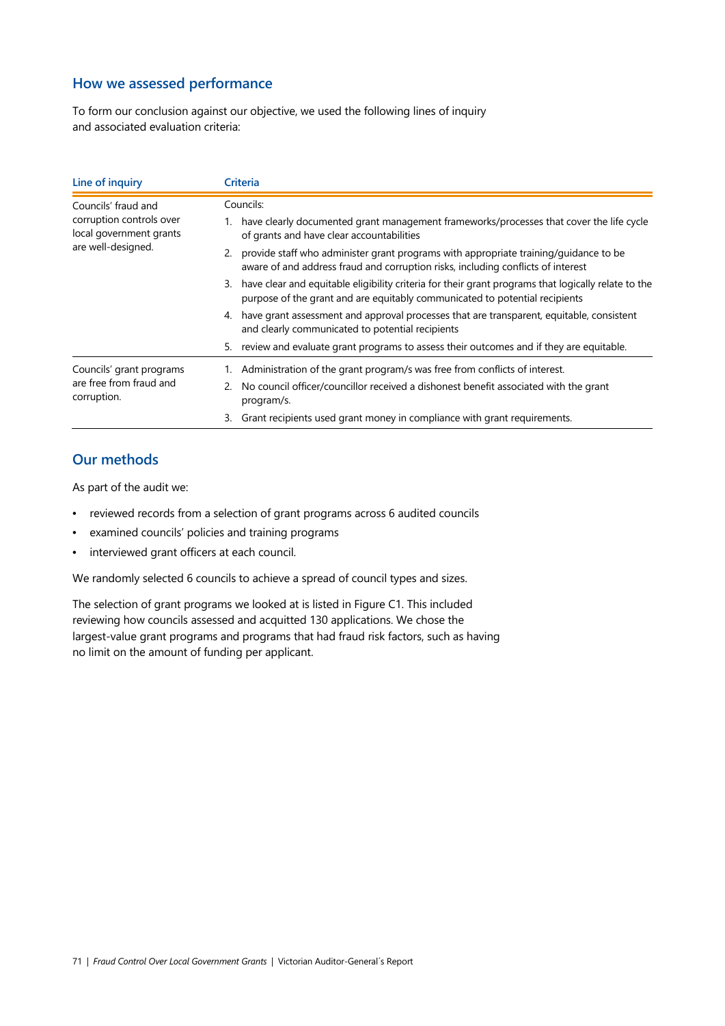### **How we assessed performance**

To form our conclusion against our objective, we used the following lines of inquiry and associated evaluation criteria:

| Line of inquiry                                                                                  | Criteria                                                                                                                                                                                 |  |  |
|--------------------------------------------------------------------------------------------------|------------------------------------------------------------------------------------------------------------------------------------------------------------------------------------------|--|--|
| Councils' fraud and<br>corruption controls over<br>local government grants<br>are well-designed. | Councils:                                                                                                                                                                                |  |  |
|                                                                                                  | have clearly documented grant management frameworks/processes that cover the life cycle<br>of grants and have clear accountabilities                                                     |  |  |
|                                                                                                  | provide staff who administer grant programs with appropriate training/guidance to be<br>2.<br>aware of and address fraud and corruption risks, including conflicts of interest           |  |  |
|                                                                                                  | have clear and equitable eligibility criteria for their grant programs that logically relate to the<br>3.<br>purpose of the grant and are equitably communicated to potential recipients |  |  |
|                                                                                                  | have grant assessment and approval processes that are transparent, equitable, consistent<br>4.<br>and clearly communicated to potential recipients                                       |  |  |
|                                                                                                  | review and evaluate grant programs to assess their outcomes and if they are equitable.<br>5.                                                                                             |  |  |
| Councils' grant programs<br>are free from fraud and<br>corruption.                               | Administration of the grant program/s was free from conflicts of interest.                                                                                                               |  |  |
|                                                                                                  | No council officer/councillor received a dishonest benefit associated with the grant<br>2.<br>program/s.                                                                                 |  |  |
|                                                                                                  | Grant recipients used grant money in compliance with grant requirements.<br>3.                                                                                                           |  |  |

## **Our methods**

As part of the audit we:

- reviewed records from a selection of grant programs across 6 audited councils
- examined councils' policies and training programs
- interviewed grant officers at each council.

We randomly selected 6 councils to achieve a spread of council types and sizes.

The selection of grant programs we looked at is listed in Figure C1. This included reviewing how councils assessed and acquitted 130 applications. We chose the largest-value grant programs and programs that had fraud risk factors, such as having no limit on the amount of funding per applicant.